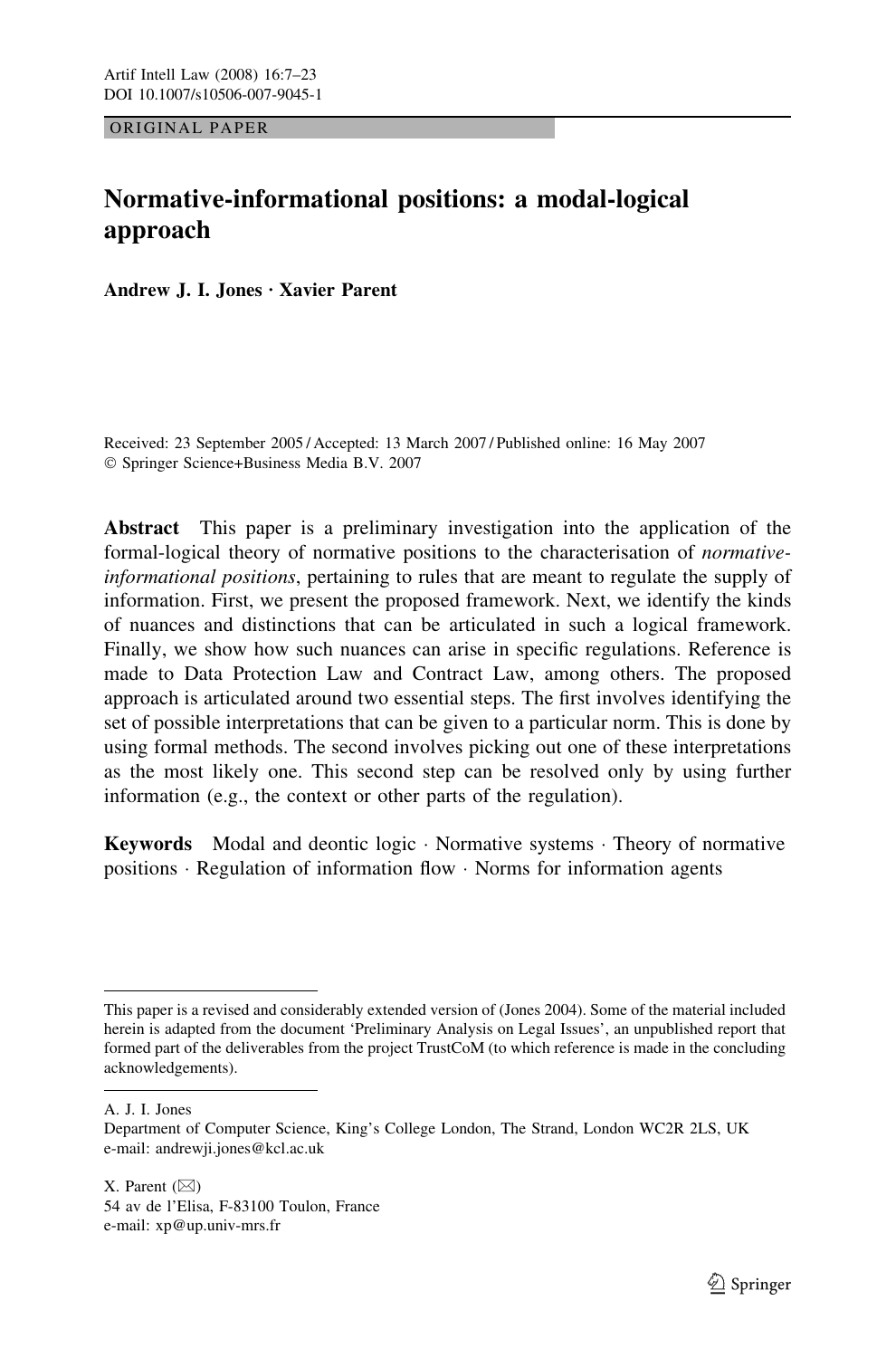ORIGINAL PAPER

# Normative-informational positions: a modal-logical approach

Andrew J. I. Jones · Xavier Parent

Received: 23 September 2005 / Accepted: 13 March 2007 / Published online: 16 May 2007 Springer Science+Business Media B.V. 2007

Abstract This paper is a preliminary investigation into the application of the formal-logical theory of normative positions to the characterisation of normativeinformational positions, pertaining to rules that are meant to regulate the supply of information. First, we present the proposed framework. Next, we identify the kinds of nuances and distinctions that can be articulated in such a logical framework. Finally, we show how such nuances can arise in specific regulations. Reference is made to Data Protection Law and Contract Law, among others. The proposed approach is articulated around two essential steps. The first involves identifying the set of possible interpretations that can be given to a particular norm. This is done by using formal methods. The second involves picking out one of these interpretations as the most likely one. This second step can be resolved only by using further information (e.g., the context or other parts of the regulation).

Keywords Modal and deontic logic Normative systems Theory of normative positions  $\cdot$  Regulation of information flow  $\cdot$  Norms for information agents

A. J. I. Jones

X. Parent  $(\boxtimes)$ 54 av de l'Elisa, F-83100 Toulon, France e-mail: xp@up.univ-mrs.fr

This paper is a revised and considerably extended version of (Jones 2004). Some of the material included herein is adapted from the document 'Preliminary Analysis on Legal Issues', an unpublished report that formed part of the deliverables from the project TrustCoM (to which reference is made in the concluding acknowledgements).

Department of Computer Science, King's College London, The Strand, London WC2R 2LS, UK e-mail: andrewji.jones@kcl.ac.uk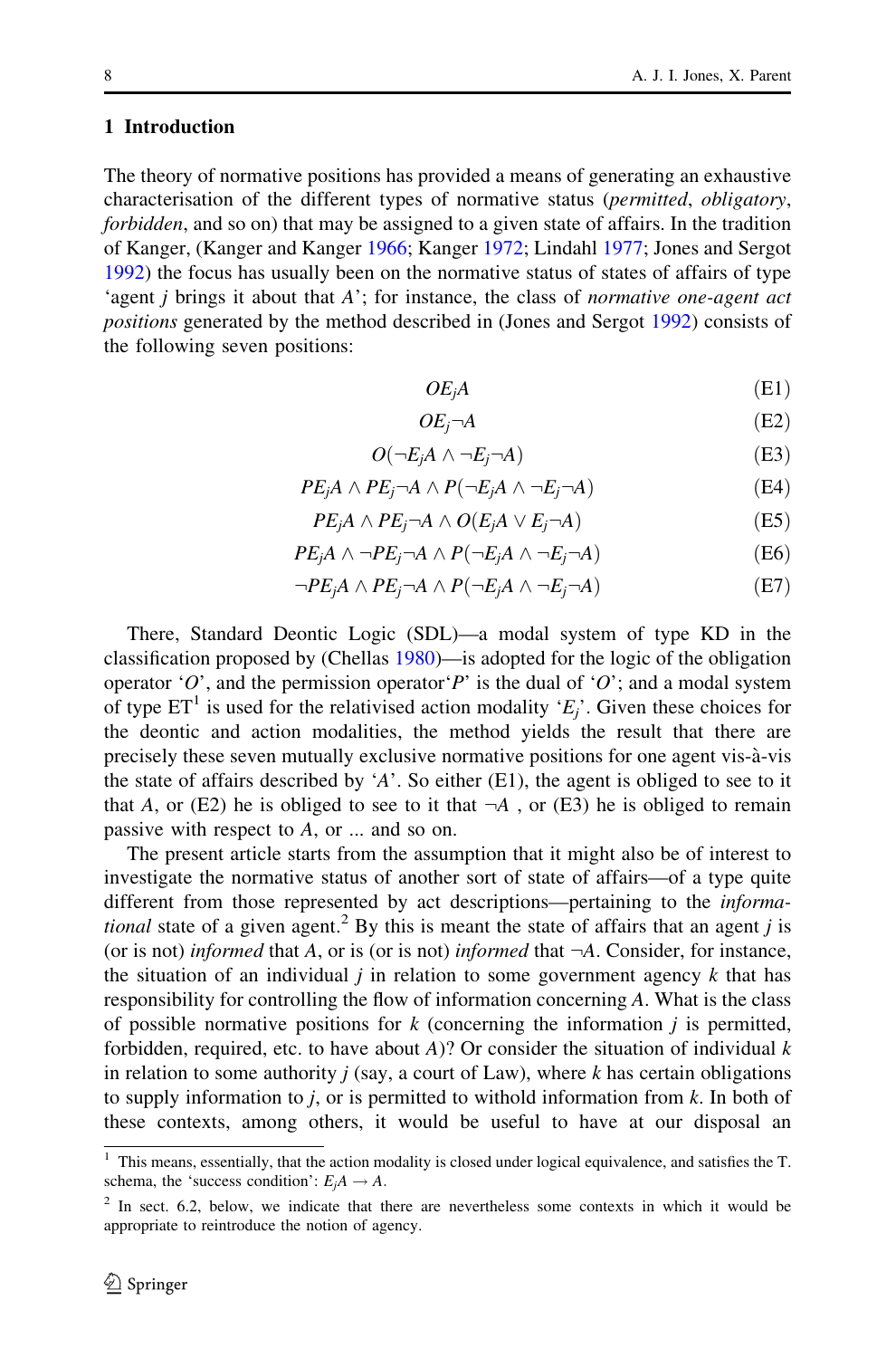#### 1 Introduction

The theory of normative positions has provided a means of generating an exhaustive characterisation of the different types of normative status (permitted, obligatory, forbidden, and so on) that may be assigned to a given state of affairs. In the tradition of Kanger, (Kanger and Kanger [1966;](#page-16-0) Kanger [1972;](#page-15-0) Lindahl [1977;](#page-16-0) Jones and Sergot [1992\)](#page-15-0) the focus has usually been on the normative status of states of affairs of type 'agent j brings it about that A'; for instance, the class of normative one-agent act positions generated by the method described in (Jones and Sergot [1992](#page-15-0)) consists of the following seven positions:

$$
OEjA
$$
 (E1)

$$
OE_j \neg A \tag{E2}
$$

$$
O(\neg E_j A \land \neg E_j \neg A) \tag{E3}
$$

$$
PE_j A \wedge PE_j \neg A \wedge P(\neg E_j A \wedge \neg E_j \neg A)
$$
 (E4)

$$
PE_j A \wedge PE_j \neg A \wedge O(E_j A \vee E_j \neg A)
$$
 (E5)

$$
PE_j A \wedge \neg PE_j \neg A \wedge P(\neg E_j A \wedge \neg E_j \neg A)
$$
 (E6)

$$
\neg PE_j A \land PE_j \neg A \land P(\neg E_j A \land \neg E_j \neg A)
$$
 (E7)

There, Standard Deontic Logic (SDL)—a modal system of type KD in the classification proposed by (Chellas [1980\)](#page-15-0)—is adopted for the logic of the obligation operator 'O', and the permission operator'P' is the dual of 'O'; and a modal system of type  $ET^1$  is used for the relativised action modality ' $E_i$ '. Given these choices for the deontic and action modalities, the method yields the result that there are precisely these seven mutually exclusive normative positions for one agent vis-à-vis the state of affairs described by 'A'. So either (E1), the agent is obliged to see to it that A, or (E2) he is obliged to see to it that  $\neg A$ , or (E3) he is obliged to remain passive with respect to A, or ... and so on.

The present article starts from the assumption that it might also be of interest to investigate the normative status of another sort of state of affairs—of a type quite different from those represented by act descriptions—pertaining to the informa*tional* state of a given agent.<sup>2</sup> By this is meant the state of affairs that an agent j is (or is not) informed that A, or is (or is not) informed that  $\neg A$ . Consider, for instance, the situation of an individual  $j$  in relation to some government agency  $k$  that has responsibility for controlling the flow of information concerning A. What is the class of possible normative positions for  $k$  (concerning the information  $j$  is permitted, forbidden, required, etc. to have about  $A$ )? Or consider the situation of individual  $k$ in relation to some authority  $j$  (say, a court of Law), where  $k$  has certain obligations to supply information to  $j$ , or is permitted to withold information from  $k$ . In both of these contexts, among others, it would be useful to have at our disposal an

<sup>&</sup>lt;sup>1</sup> This means, essentially, that the action modality is closed under logical equivalence, and satisfies the T. schema, the 'success condition':  $E_iA \rightarrow A$ .

<sup>&</sup>lt;sup>2</sup> In sect. 6.2, below, we indicate that there are nevertheless some contexts in which it would be appropriate to reintroduce the notion of agency.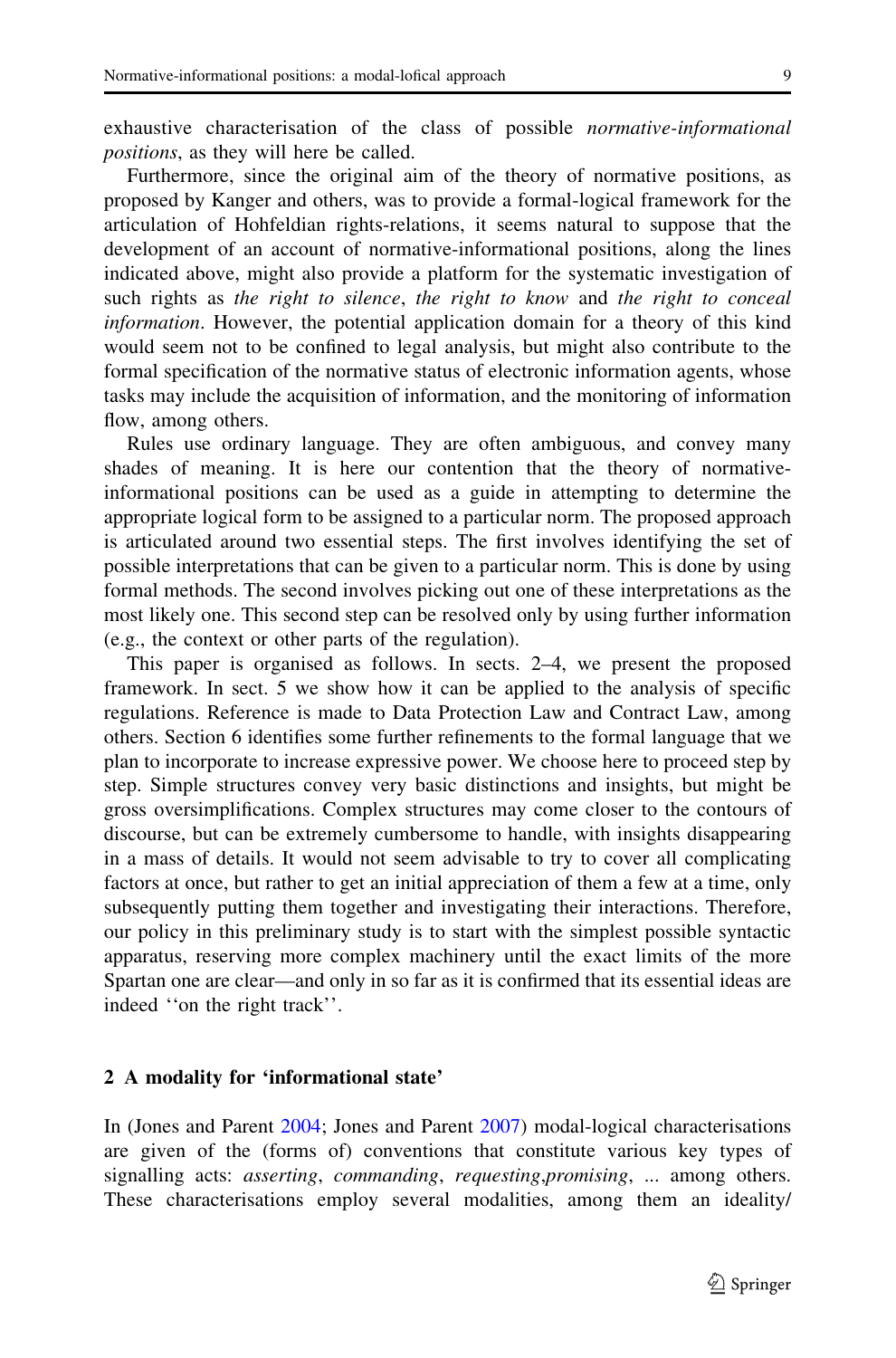exhaustive characterisation of the class of possible normative-informational positions, as they will here be called.

Furthermore, since the original aim of the theory of normative positions, as proposed by Kanger and others, was to provide a formal-logical framework for the articulation of Hohfeldian rights-relations, it seems natural to suppose that the development of an account of normative-informational positions, along the lines indicated above, might also provide a platform for the systematic investigation of such rights as the right to silence, the right to know and the right to conceal information. However, the potential application domain for a theory of this kind would seem not to be confined to legal analysis, but might also contribute to the formal specification of the normative status of electronic information agents, whose tasks may include the acquisition of information, and the monitoring of information flow, among others.

Rules use ordinary language. They are often ambiguous, and convey many shades of meaning. It is here our contention that the theory of normativeinformational positions can be used as a guide in attempting to determine the appropriate logical form to be assigned to a particular norm. The proposed approach is articulated around two essential steps. The first involves identifying the set of possible interpretations that can be given to a particular norm. This is done by using formal methods. The second involves picking out one of these interpretations as the most likely one. This second step can be resolved only by using further information (e.g., the context or other parts of the regulation).

This paper is organised as follows. In sects. 2–4, we present the proposed framework. In sect. 5 we show how it can be applied to the analysis of specific regulations. Reference is made to Data Protection Law and Contract Law, among others. Section 6 identifies some further refinements to the formal language that we plan to incorporate to increase expressive power. We choose here to proceed step by step. Simple structures convey very basic distinctions and insights, but might be gross oversimplifications. Complex structures may come closer to the contours of discourse, but can be extremely cumbersome to handle, with insights disappearing in a mass of details. It would not seem advisable to try to cover all complicating factors at once, but rather to get an initial appreciation of them a few at a time, only subsequently putting them together and investigating their interactions. Therefore, our policy in this preliminary study is to start with the simplest possible syntactic apparatus, reserving more complex machinery until the exact limits of the more Spartan one are clear—and only in so far as it is confirmed that its essential ideas are indeed ''on the right track''.

## 2 A modality for 'informational state'

In (Jones and Parent [2004;](#page-15-0) Jones and Parent [2007](#page-15-0)) modal-logical characterisations are given of the (forms of) conventions that constitute various key types of signalling acts: asserting, commanding, requesting,promising, ... among others. These characterisations employ several modalities, among them an ideality/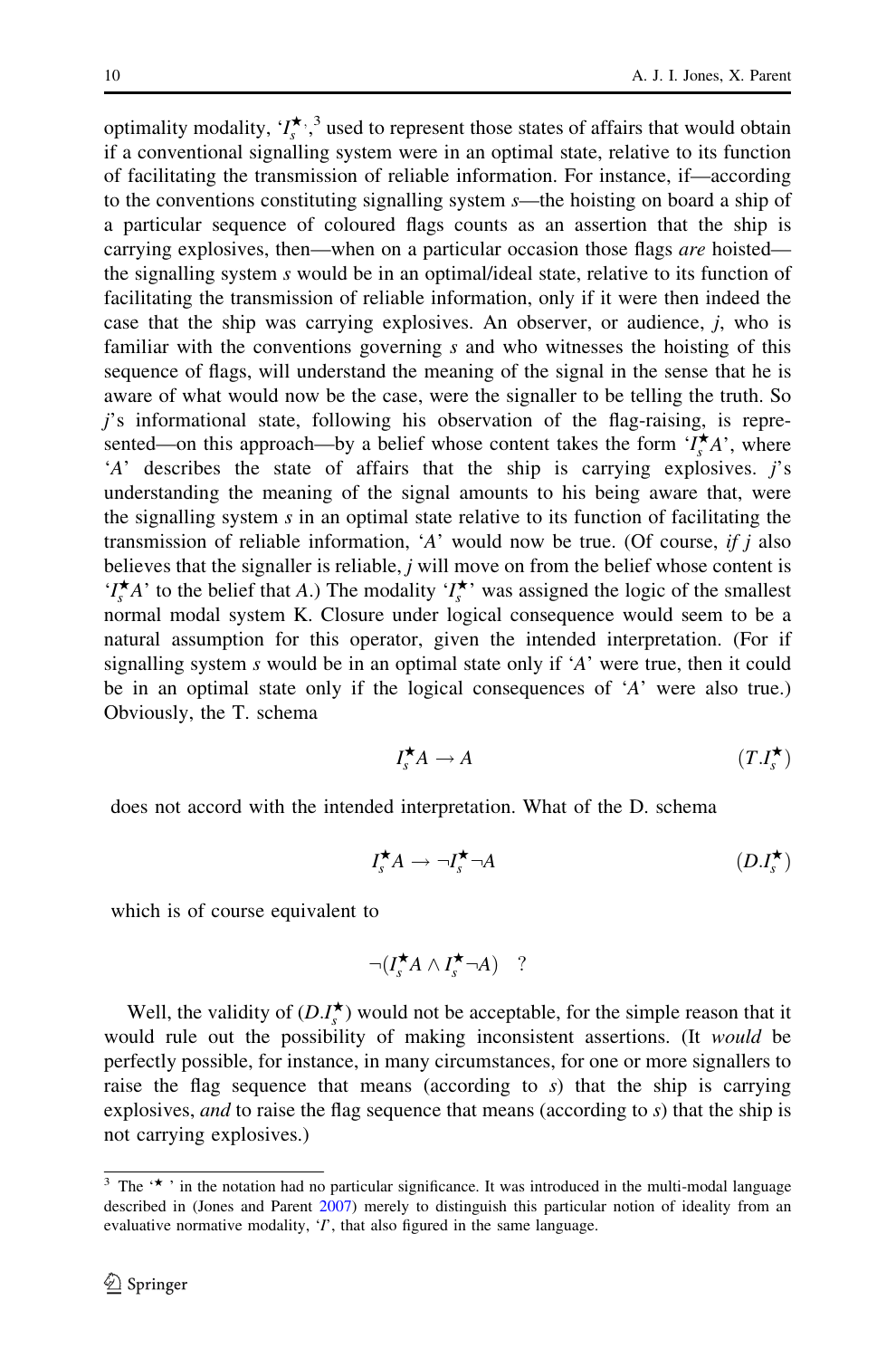optimality modality,  $\{I_s^{\star}, \}$  used to represent those states of affairs that would obtain if a conventional signalling system were in an optimal state, relative to its function of facilitating the transmission of reliable information. For instance, if—according to the conventions constituting signalling system s—the hoisting on board a ship of a particular sequence of coloured flags counts as an assertion that the ship is carrying explosives, then—when on a particular occasion those flags are hoisted the signalling system s would be in an optimal/ideal state, relative to its function of facilitating the transmission of reliable information, only if it were then indeed the case that the ship was carrying explosives. An observer, or audience, j, who is familiar with the conventions governing s and who witnesses the hoisting of this sequence of flags, will understand the meaning of the signal in the sense that he is aware of what would now be the case, were the signaller to be telling the truth. So j's informational state, following his observation of the flag-raising, is represented—on this approach—by a belief whose content takes the form  $\overrightarrow{I_s}A$ , where 'A' describes the state of affairs that the ship is carrying explosives. *j's* understanding the meaning of the signal amounts to his being aware that, were the signalling system  $s$  in an optimal state relative to its function of facilitating the transmission of reliable information, 'A' would now be true. (Of course, if  $j$  also believes that the signaller is reliable,  $j$  will move on from the belief whose content is ' $I_s^{\star}A$ ' to the belief that A.) The modality ' $I_s^{\star}$ ' was assigned the logic of the smallest normal modal system K. Closure under logical consequence would seem to be a natural assumption for this operator, given the intended interpretation. (For if signalling system  $s$  would be in an optimal state only if 'A' were true, then it could be in an optimal state only if the logical consequences of 'A' were also true.) Obviously, the T. schema

$$
I_s^{\star} A \to A \tag{T.I_s^{\star}}
$$

does not accord with the intended interpretation. What of the D. schema

$$
I_s^{\bigstar} A \to \neg I_s^{\bigstar} \neg A \tag{D.I_s^{\bigstar}}
$$

which is of course equivalent to

$$
\neg (I_s^{\bigstar} A \wedge I_s^{\bigstar} \neg A) \quad ?
$$

Well, the validity of  $(D.I^{\star}_{s})$  would not be acceptable, for the simple reason that it would rule out the possibility of making inconsistent assertions. (It would be perfectly possible, for instance, in many circumstances, for one or more signallers to raise the flag sequence that means (according to  $s$ ) that the ship is carrying explosives, *and* to raise the flag sequence that means (according to s) that the ship is not carrying explosives.)

<sup>&</sup>lt;sup>3</sup> The  $\cdot$   $\star$   $\cdot$  in the notation had no particular significance. It was introduced in the multi-modal language described in (Jones and Parent [2007\)](#page-15-0) merely to distinguish this particular notion of ideality from an evaluative normative modality,  $T$ , that also figured in the same language.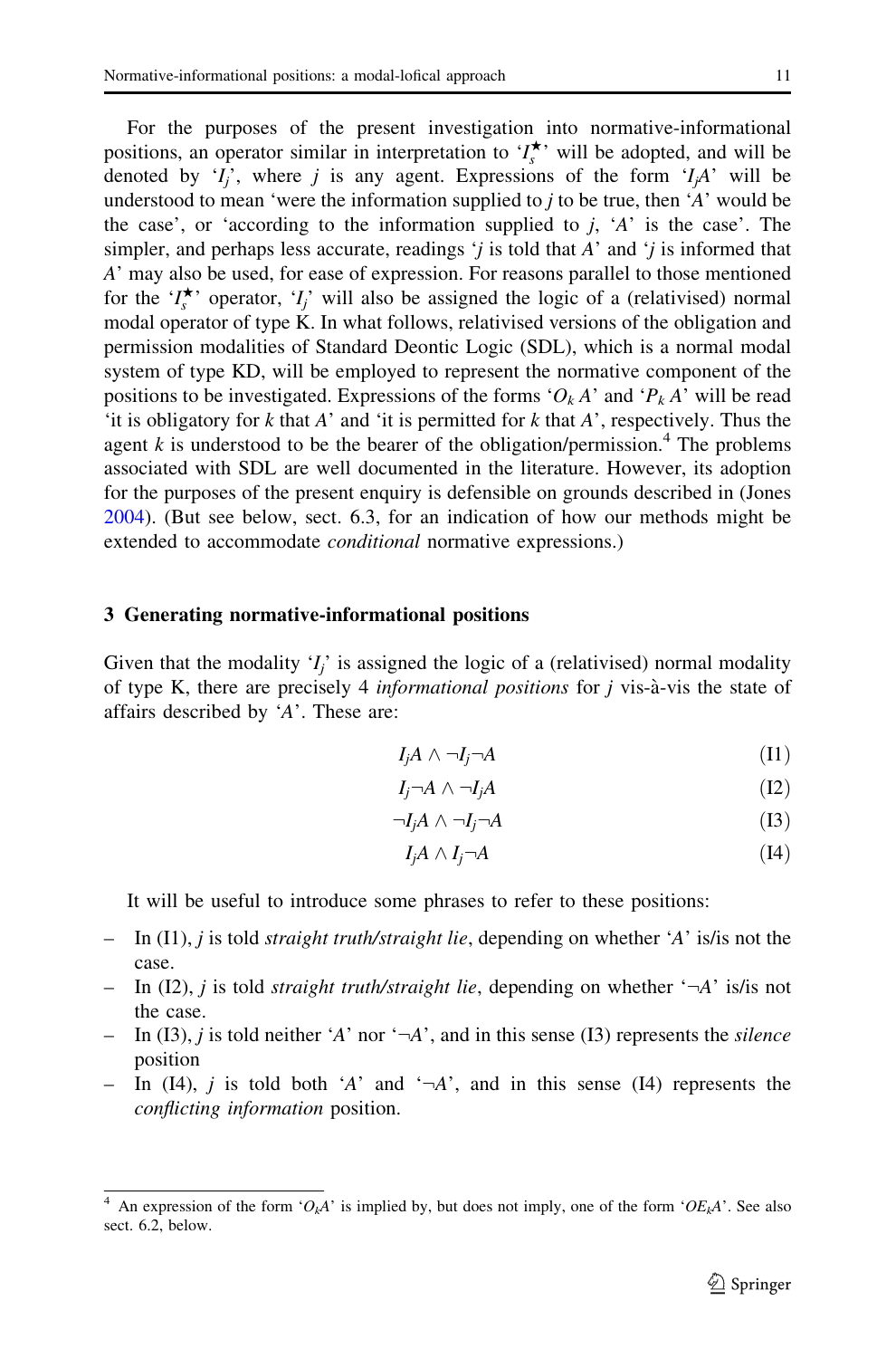For the purposes of the present investigation into normative-informational positions, an operator similar in interpretation to  $\mathcal{I}_{s}^{\star}$  will be adopted, and will be denoted by ' $I_i$ ', where j is any agent. Expressions of the form ' $I_i$ A' will be understood to mean 'were the information supplied to  $j$  to be true, then 'A' would be the case', or 'according to the information supplied to  $j$ , 'A' is the case'. The simpler, and perhaps less accurate, readings  $\dot{y}$  is told that A' and  $\dot{y}$  is informed that A' may also be used, for ease of expression. For reasons parallel to those mentioned for the ' $I_s^{\star}$ ' operator, ' $I_j$ ' will also be assigned the logic of a (relativised) normal modal operator of type K. In what follows, relativised versions of the obligation and permission modalities of Standard Deontic Logic (SDL), which is a normal modal system of type KD, will be employed to represent the normative component of the positions to be investigated. Expressions of the forms ' $O_k A$ ' and ' $P_k A$ ' will be read 'it is obligatory for  $k$  that  $A$ ' and 'it is permitted for  $k$  that  $A$ ', respectively. Thus the agent  $k$  is understood to be the bearer of the obligation/permission.<sup>4</sup> The problems associated with SDL are well documented in the literature. However, its adoption for the purposes of the present enquiry is defensible on grounds described in (Jones [2004\)](#page-15-0). (But see below, sect. 6.3, for an indication of how our methods might be extended to accommodate *conditional* normative expressions.)

#### 3 Generating normative-informational positions

Given that the modality  $I_i$  is assigned the logic of a (relativised) normal modality of type K, there are precisely 4 *informational positions* for  $j$  vis- $a$ -vis the state of affairs described by 'A'. These are:

$$
I_j A \wedge \neg I_j \neg A \tag{I1}
$$

$$
I_j \neg A \land \neg I_j A \tag{I2}
$$

$$
\neg I_j A \land \neg I_j \neg A \tag{I3}
$$

$$
I_j A \wedge I_j \neg A \tag{I4}
$$

It will be useful to introduce some phrases to refer to these positions:

- In (I1), *j* is told *straight truth/straight lie*, depending on whether 'A' is/is not the case.
- In (I2), *i* is told *straight truth/straight lie*, depending on whether  $-\lambda$  is/is not the case.
- In (I3), *j* is told neither 'A' nor ' $\neg$ A', and in this sense (I3) represents the *silence* position
- In (I4), j is told both 'A' and ' $\neg$ A', and in this sense (I4) represents the conflicting information position.

<sup>&</sup>lt;sup>4</sup> An expression of the form ' $O_kA$ ' is implied by, but does not imply, one of the form ' $OE_kA$ '. See also sect. 6.2, below.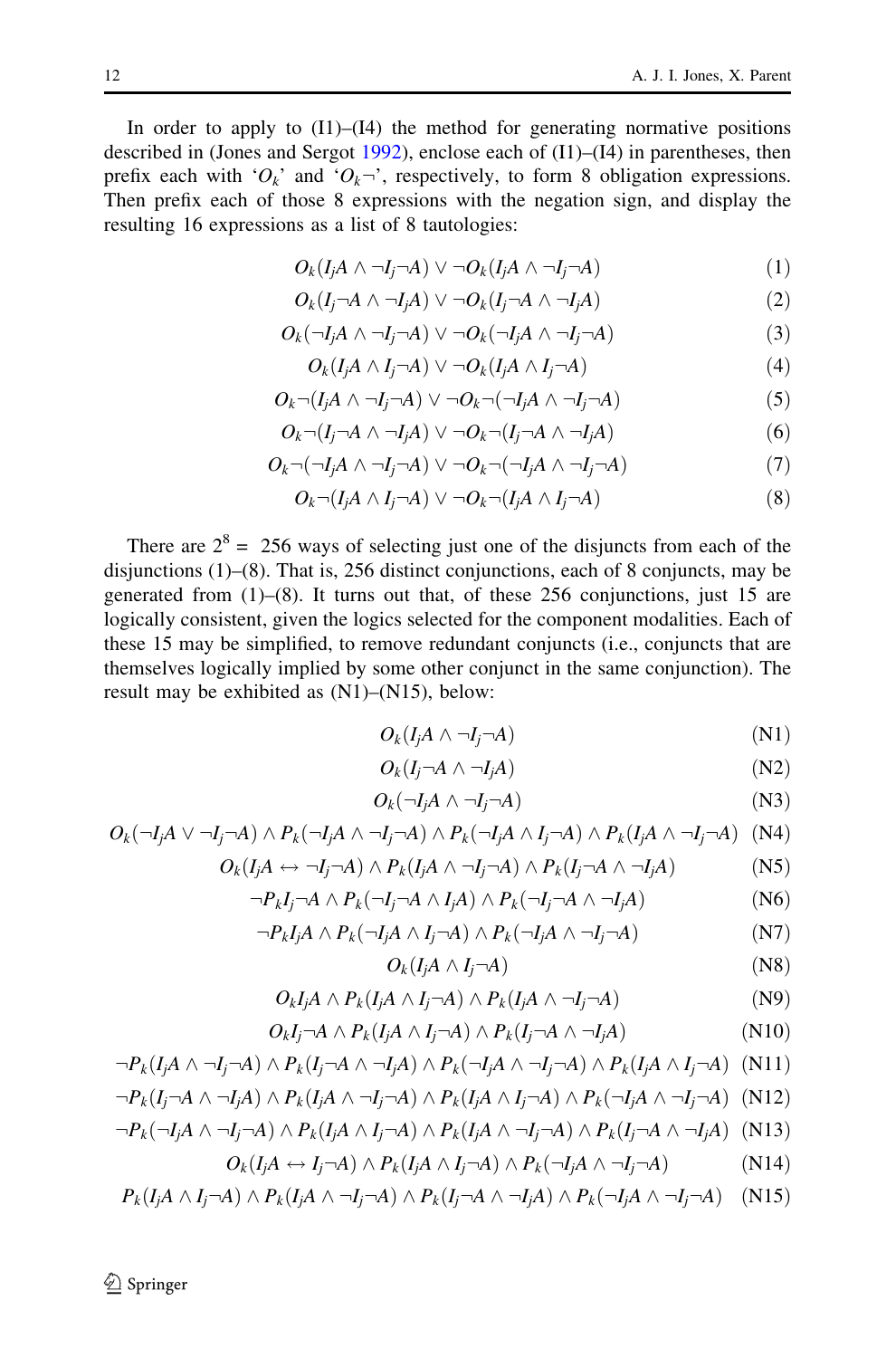In order to apply to  $(11)$ – $(14)$  the method for generating normative positions described in (Jones and Sergot [1992](#page-15-0)), enclose each of (I1)–(I4) in parentheses, then prefix each with ' $O_k$ ' and ' $O_k \rightarrow '$ , respectively, to form 8 obligation expressions. Then prefix each of those 8 expressions with the negation sign, and display the resulting 16 expressions as a list of 8 tautologies:

$$
O_k(I_jA \wedge \neg I_j \neg A) \vee \neg O_k(I_jA \wedge \neg I_j \neg A)
$$
\n
$$
(1)
$$

$$
O_k(I_j \neg A \wedge \neg I_j A) \vee \neg O_k(I_j \neg A \wedge \neg I_j A)
$$
\n
$$
(2)
$$

$$
O_k(\neg I_j A \land \neg I_j \neg A) \lor \neg O_k(\neg I_j A \land \neg I_j \neg A)
$$
\n(3)

$$
O_k(I_jA \wedge I_j \neg A) \vee \neg O_k(I_jA \wedge I_j \neg A)
$$
\n
$$
(4)
$$

$$
O_k \neg (I_j A \land \neg I_j \neg A) \lor \neg O_k \neg (\neg I_j A \land \neg I_j \neg A)
$$
\n
$$
(5)
$$

$$
O_k \neg (I_j \neg A \land \neg I_j A) \lor \neg O_k \neg (I_j \neg A \land \neg I_j A)
$$
\n
$$
(6)
$$

$$
O_k \neg (\neg I_j A \land \neg I_j \neg A) \lor \neg O_k \neg (\neg I_j A \land \neg I_j \neg A)
$$
\n
$$
(7)
$$

$$
O_k \neg (I_j A \land I_j \neg A) \lor \neg O_k \neg (I_j A \land I_j \neg A)
$$
\n(8)

There are  $2^8 = 256$  ways of selecting just one of the disjuncts from each of the disjunctions (1)–(8). That is, 256 distinct conjunctions, each of 8 conjuncts, may be generated from (1)–(8). It turns out that, of these 256 conjunctions, just 15 are logically consistent, given the logics selected for the component modalities. Each of these 15 may be simplified, to remove redundant conjuncts (i.e., conjuncts that are themselves logically implied by some other conjunct in the same conjunction). The result may be exhibited as (N1)–(N15), below:

$$
O_k(I_jA \wedge \neg I_j \neg A) \tag{N1}
$$

$$
O_k(I_j \neg A \wedge \neg I_j A) \tag{N2}
$$

$$
O_k(\neg I_j A \land \neg I_j \neg A) \tag{N3}
$$

$$
O_k(\neg I_j A \lor \neg I_j \neg A) \land P_k(\neg I_j A \land \neg I_j \neg A) \land P_k(\neg I_j A \land I_j \neg A) \land P_k(I_j A \land \neg I_j \neg A)
$$
 (N4)

$$
O_k(I_j A \leftrightarrow \neg I_j \neg A) \land P_k(I_j A \land \neg I_j \neg A) \land P_k(I_j \neg A \land \neg I_j A)
$$
 (N5)

$$
\neg P_k I_j \neg A \land P_k (\neg I_j \neg A \land I_j A) \land P_k (\neg I_j \neg A \land \neg I_j A)
$$
 (N6)

$$
\neg P_k I_j A \wedge P_k (\neg I_j A \wedge I_j \neg A) \wedge P_k (\neg I_j A \wedge \neg I_j \neg A)
$$
 (N7)

$$
O_k(I_j A \wedge I_j \neg A) \tag{N8}
$$

$$
O_k I_j A \wedge P_k (I_j A \wedge I_j \neg A) \wedge P_k (I_j A \wedge \neg I_j \neg A)
$$
 (N9)

$$
O_k I_j \neg A \land P_k (I_j A \land I_j \neg A) \land P_k (I_j \neg A \land \neg I_j A)
$$
 (N10)

$$
\neg P_k(I_jA \wedge \neg I_j \neg A) \wedge P_k(I_j \neg A \wedge \neg I_jA) \wedge P_k(\neg I_jA \wedge \neg I_j \neg A) \wedge P_k(I_jA \wedge I_j \neg A)
$$
 (N11)

$$
\neg P_k(I_j \neg A \wedge \neg I_j A) \wedge P_k(I_j A \wedge \neg I_j \neg A) \wedge P_k(I_j A \wedge I_j \neg A) \wedge P_k(\neg I_j A \wedge \neg I_j \neg A)
$$
 (N12)

$$
\neg P_k(\neg I_j A \land \neg I_j \neg A) \land P_k(I_j A \land I_j \neg A) \land P_k(I_j A \land \neg I_j \neg A) \land P_k(I_j \neg A \land \neg I_j A)
$$
 (N13)

$$
O_k(I_j A \leftrightarrow I_j \neg A) \land P_k(I_j A \land I_j \neg A) \land P_k(\neg I_j A \land \neg I_j \neg A)
$$
 (N14)

$$
P_k(I_jA \wedge I_j \neg A) \wedge P_k(I_jA \wedge \neg I_j \neg A) \wedge P_k(I_j \neg A \wedge \neg I_jA) \wedge P_k(\neg I_jA \wedge \neg I_j \neg A)
$$
 (N15)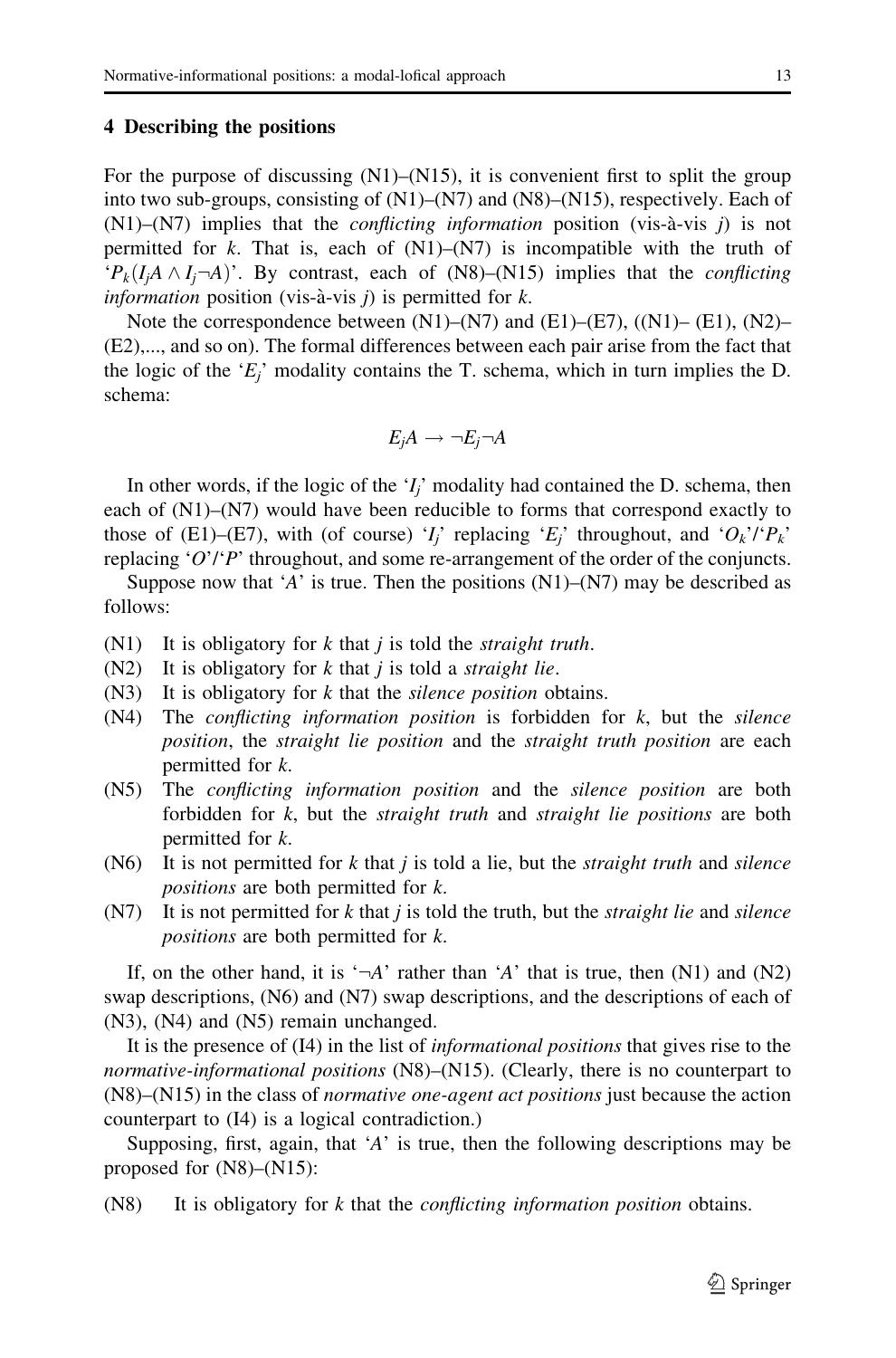## 4 Describing the positions

For the purpose of discussing  $(N1)$ – $(N15)$ , it is convenient first to split the group into two sub-groups, consisting of (N1)–(N7) and (N8)–(N15), respectively. Each of  $(N1)$ – $(N7)$  implies that the *conflicting information* position (vis-à-vis j) is not permitted for k. That is, each of  $(N1)$ – $(N7)$  is incompatible with the truth of  ${}^{t}P_{k}(I_{i}A \wedge I_{i}A)^{t}$ . By contrast, each of (N8)–(N15) implies that the *conflicting* information position (vis-à-vis j) is permitted for  $k$ .

Note the correspondence between  $(N1)$ – $(N7)$  and  $(E1)$ – $(E7)$ ,  $(N1)$ – $(E1)$ ,  $(N2)$ – (E2),..., and so on). The formal differences between each pair arise from the fact that the logic of the ' $E_i$ ' modality contains the T. schema, which in turn implies the D. schema:

$$
E_j A \to \neg E_j \neg A
$$

In other words, if the logic of the  $Y_i$  modality had contained the D. schema, then each of (N1)–(N7) would have been reducible to forms that correspond exactly to those of (E1)–(E7), with (of course) '*I<sub>i</sub>*' replacing '*E<sub>i</sub>*' throughout, and ' $O_k$ '/' $P_k$ ' replacing ' $O'/P$ ' throughout, and some re-arrangement of the order of the conjuncts.

Suppose now that 'A' is true. Then the positions  $(N1)$ – $(N7)$  may be described as follows:

- $(N1)$  It is obligatory for k that j is told the *straight truth*.
- $(N2)$  It is obligatory for k that j is told a *straight lie*.
- $(N3)$  It is obligatory for k that the *silence position* obtains.
- $(N4)$  The *conflicting information position* is forbidden for k, but the *silence* position, the straight lie position and the straight truth position are each permitted for k.
- (N5) The *conflicting information position* and the *silence position* are both forbidden for  $k$ , but the *straight truth* and *straight lie positions* are both permitted for k.
- (N6) It is not permitted for k that j is told a lie, but the *straight truth* and *silence* positions are both permitted for k.
- $(N7)$  It is not permitted for k that j is told the truth, but the *straight lie* and *silence* positions are both permitted for k.

If, on the other hand, it is ' $\neg A$ ' rather than 'A' that is true, then (N1) and (N2) swap descriptions, (N6) and (N7) swap descriptions, and the descriptions of each of (N3), (N4) and (N5) remain unchanged.

It is the presence of (I4) in the list of informational positions that gives rise to the normative-informational positions (N8)–(N15). (Clearly, there is no counterpart to  $(N8)$ – $(N15)$  in the class of *normative one-agent act positions* just because the action counterpart to (I4) is a logical contradiction.)

Supposing, first, again, that 'A' is true, then the following descriptions may be proposed for (N8)–(N15):

 $(N8)$  It is obligatory for k that the *conflicting information position* obtains.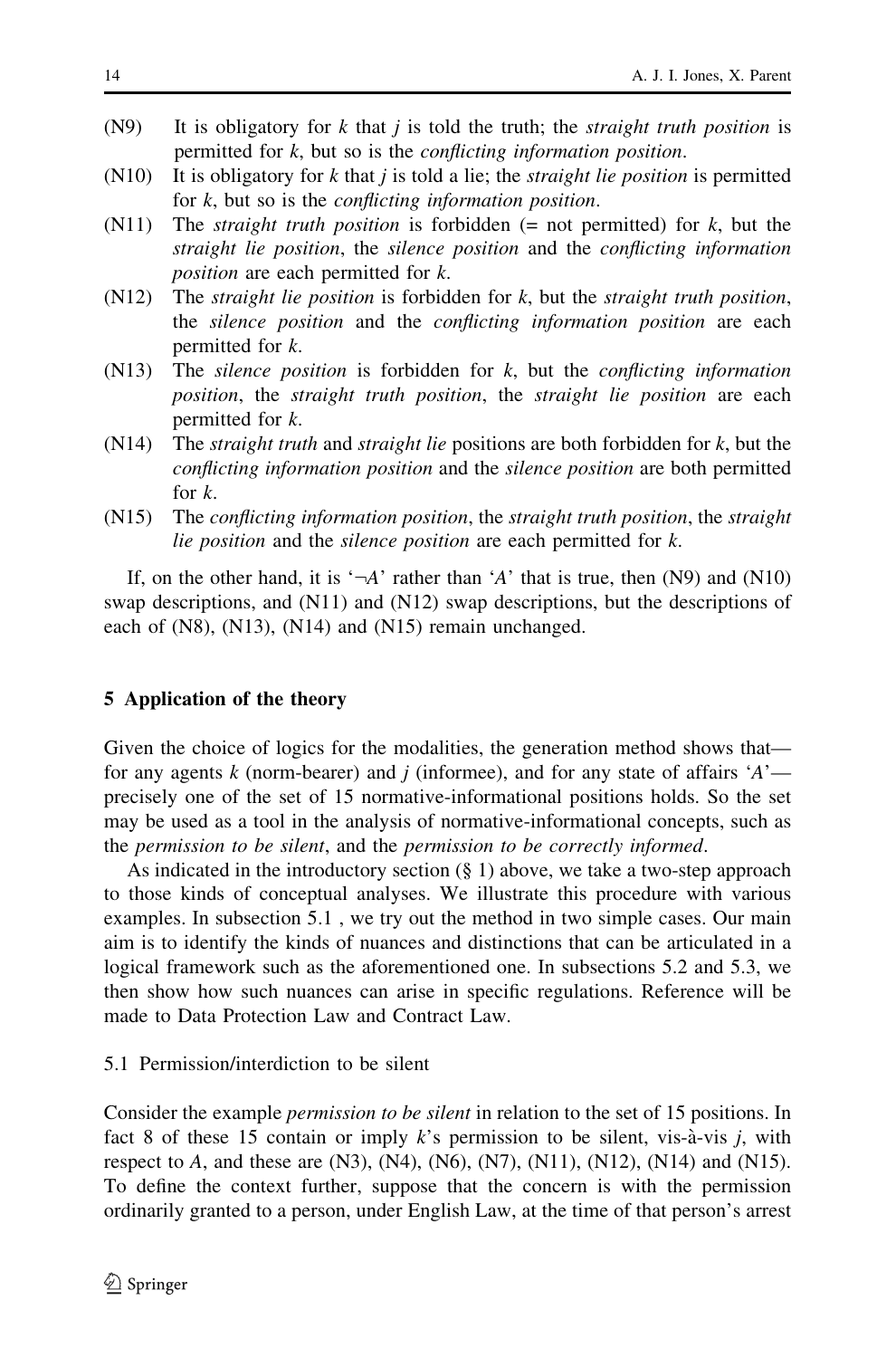- $(N9)$  It is obligatory for k that j is told the truth; the *straight truth position* is permitted for k, but so is the conflicting information position.
- $(N10)$  It is obligatory for k that j is told a lie; the *straight lie position* is permitted for  $k$ , but so is the *conflicting information position*.
- (N11) The *straight truth position* is forbidden (= not permitted) for  $k$ , but the straight lie position, the silence position and the conflicting information position are each permitted for k.
- $(N12)$  The *straight lie position* is forbidden for k, but the *straight truth position*, the silence position and the conflicting information position are each permitted for k.
- $(N13)$  The *silence position* is forbidden for k, but the *conflicting information* position, the straight truth position, the straight lie position are each permitted for k.
- $(N14)$  The *straight truth* and *straight lie* positions are both forbidden for k, but the conflicting information position and the silence position are both permitted for k.
- (N15) The conflicting information position, the straight truth position, the straight lie position and the silence position are each permitted for k.

If, on the other hand, it is ' $\neg A$ ' rather than 'A' that is true, then (N9) and (N10) swap descriptions, and (N11) and (N12) swap descriptions, but the descriptions of each of (N8), (N13), (N14) and (N15) remain unchanged.

## 5 Application of the theory

Given the choice of logics for the modalities, the generation method shows that for any agents k (norm-bearer) and j (informee), and for any state of affairs  $A$ <sup>-</sup> precisely one of the set of 15 normative-informational positions holds. So the set may be used as a tool in the analysis of normative-informational concepts, such as the permission to be silent, and the permission to be correctly informed.

As indicated in the introductory section (§ 1) above, we take a two-step approach to those kinds of conceptual analyses. We illustrate this procedure with various examples. In subsection 5.1 , we try out the method in two simple cases. Our main aim is to identify the kinds of nuances and distinctions that can be articulated in a logical framework such as the aforementioned one. In subsections 5.2 and 5.3, we then show how such nuances can arise in specific regulations. Reference will be made to Data Protection Law and Contract Law.

# 5.1 Permission/interdiction to be silent

Consider the example permission to be silent in relation to the set of 15 positions. In fact 8 of these 15 contain or imply  $k$ 's permission to be silent, vis-à-vis j, with respect to A, and these are  $(N3)$ ,  $(N4)$ ,  $(N6)$ ,  $(N7)$ ,  $(N11)$ ,  $(N12)$ ,  $(N14)$  and  $(N15)$ . To define the context further, suppose that the concern is with the permission ordinarily granted to a person, under English Law, at the time of that person's arrest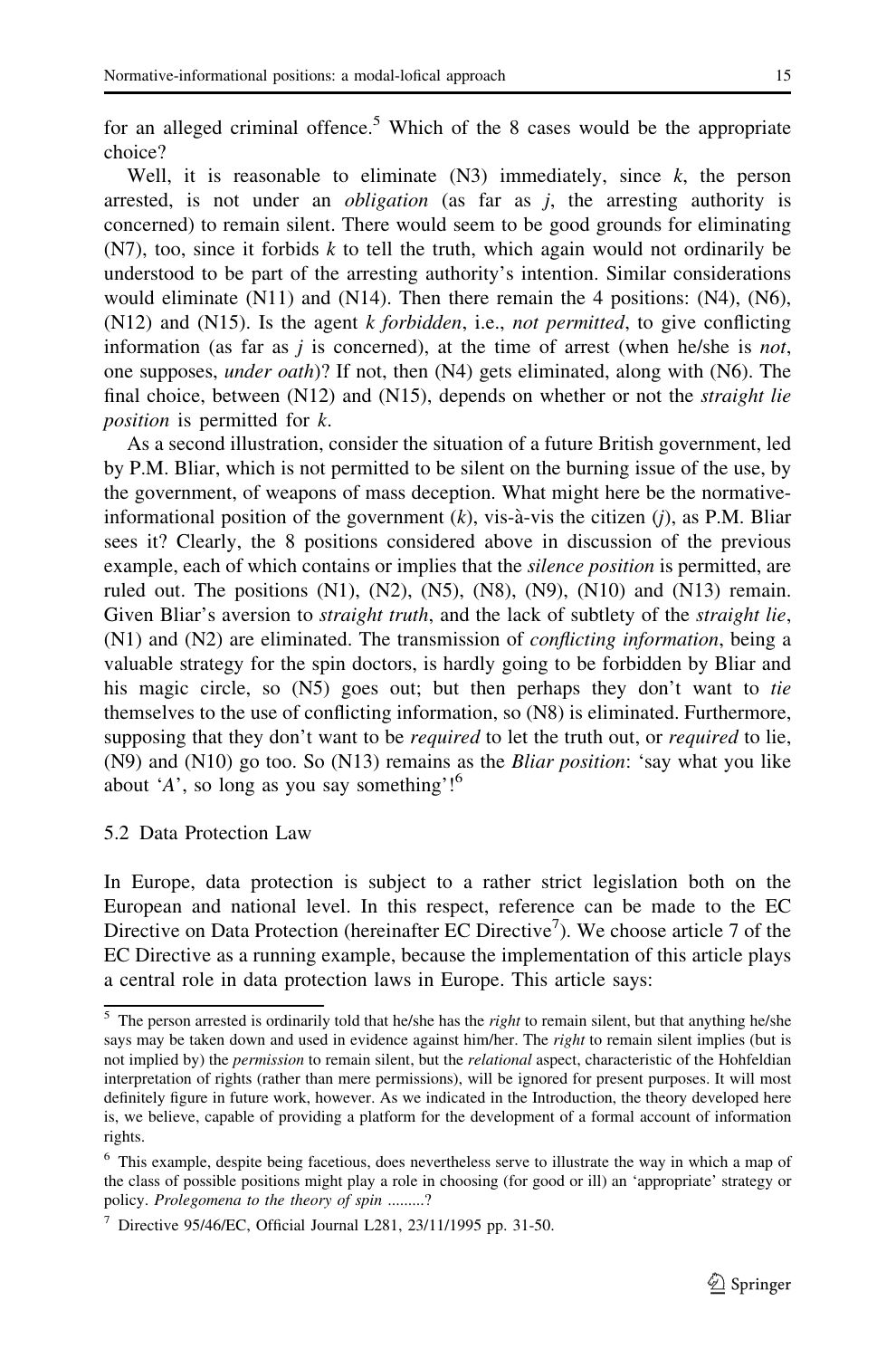for an alleged criminal offence.<sup>5</sup> Which of the 8 cases would be the appropriate choice?

Well, it is reasonable to eliminate  $(N3)$  immediately, since k, the person arrested, is not under an *obligation* (as far as  $j$ , the arresting authority is concerned) to remain silent. There would seem to be good grounds for eliminating  $(N7)$ , too, since it forbids k to tell the truth, which again would not ordinarily be understood to be part of the arresting authority's intention. Similar considerations would eliminate (N11) and (N14). Then there remain the 4 positions: (N4), (N6),  $(N12)$  and  $(N15)$ . Is the agent k forbidden, i.e., not permitted, to give conflicting information (as far as  $j$  is concerned), at the time of arrest (when he/she is *not*, one supposes, under oath)? If not, then (N4) gets eliminated, along with (N6). The final choice, between  $(N12)$  and  $(N15)$ , depends on whether or not the *straight lie* position is permitted for k.

As a second illustration, consider the situation of a future British government, led by P.M. Bliar, which is not permitted to be silent on the burning issue of the use, by the government, of weapons of mass deception. What might here be the normativeinformational position of the government  $(k)$ , vis-à-vis the citizen  $(j)$ , as P.M. Bliar sees it? Clearly, the 8 positions considered above in discussion of the previous example, each of which contains or implies that the silence position is permitted, are ruled out. The positions  $(N1)$ ,  $(N2)$ ,  $(N5)$ ,  $(N8)$ ,  $(N9)$ ,  $(N10)$  and  $(N13)$  remain. Given Bliar's aversion to *straight truth*, and the lack of subtlety of the *straight lie*,  $(N1)$  and  $(N2)$  are eliminated. The transmission of *conflicting information*, being a valuable strategy for the spin doctors, is hardly going to be forbidden by Bliar and his magic circle, so (N5) goes out; but then perhaps they don't want to tie themselves to the use of conflicting information, so (N8) is eliminated. Furthermore, supposing that they don't want to be *required* to let the truth out, or *required* to lie,  $(N9)$  and  $(N10)$  go too. So  $(N13)$  remains as the *Bliar position*: 'say what you like about 'A', so long as you say something'! $6$ 

# 5.2 Data Protection Law

In Europe, data protection is subject to a rather strict legislation both on the European and national level. In this respect, reference can be made to the EC Directive on Data Protection (hereinafter EC Directive<sup>7</sup>). We choose article 7 of the EC Directive as a running example, because the implementation of this article plays a central role in data protection laws in Europe. This article says:

 $5$  The person arrested is ordinarily told that he/she has the *right* to remain silent, but that anything he/she says may be taken down and used in evidence against him/her. The *right* to remain silent implies (but is not implied by) the *permission* to remain silent, but the *relational* aspect, characteristic of the Hohfeldian interpretation of rights (rather than mere permissions), will be ignored for present purposes. It will most definitely figure in future work, however. As we indicated in the Introduction, the theory developed here is, we believe, capable of providing a platform for the development of a formal account of information rights.

<sup>6</sup> This example, despite being facetious, does nevertheless serve to illustrate the way in which a map of the class of possible positions might play a role in choosing (for good or ill) an 'appropriate' strategy or policy. Prolegomena to the theory of spin .........?

<sup>&</sup>lt;sup>7</sup> Directive 95/46/EC, Official Journal L281, 23/11/1995 pp. 31-50.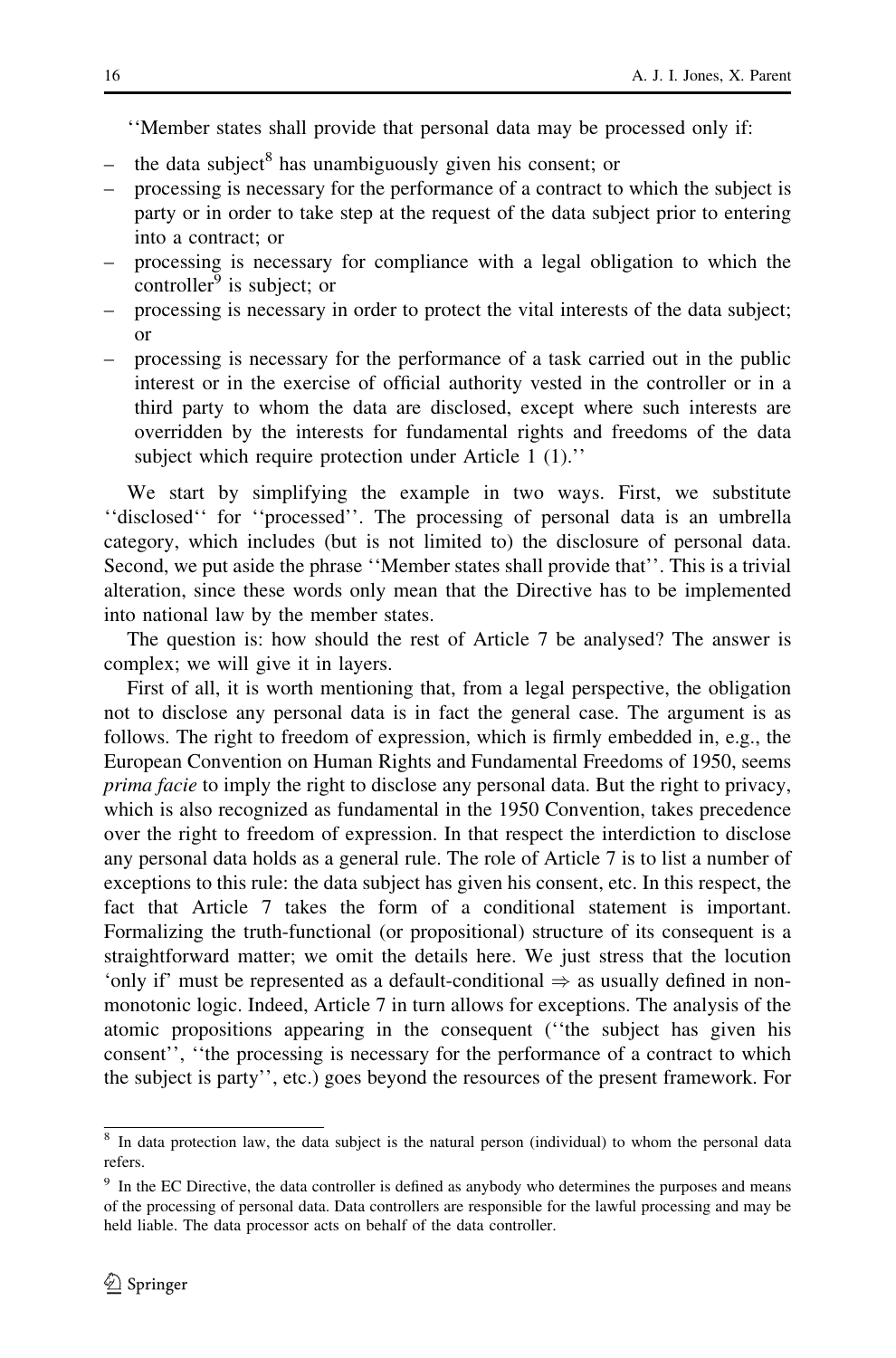''Member states shall provide that personal data may be processed only if:

- the data subject<sup>8</sup> has unambiguously given his consent; or
- processing is necessary for the performance of a contract to which the subject is party or in order to take step at the request of the data subject prior to entering into a contract; or
- processing is necessary for compliance with a legal obligation to which the controller $9$  is subject; or
- processing is necessary in order to protect the vital interests of the data subject; or
- processing is necessary for the performance of a task carried out in the public interest or in the exercise of official authority vested in the controller or in a third party to whom the data are disclosed, except where such interests are overridden by the interests for fundamental rights and freedoms of the data subject which require protection under Article 1 (1).''

We start by simplifying the example in two ways. First, we substitute ''disclosed'' for ''processed''. The processing of personal data is an umbrella category, which includes (but is not limited to) the disclosure of personal data. Second, we put aside the phrase ''Member states shall provide that''. This is a trivial alteration, since these words only mean that the Directive has to be implemented into national law by the member states.

The question is: how should the rest of Article 7 be analysed? The answer is complex; we will give it in layers.

First of all, it is worth mentioning that, from a legal perspective, the obligation not to disclose any personal data is in fact the general case. The argument is as follows. The right to freedom of expression, which is firmly embedded in, e.g., the European Convention on Human Rights and Fundamental Freedoms of 1950, seems prima facie to imply the right to disclose any personal data. But the right to privacy, which is also recognized as fundamental in the 1950 Convention, takes precedence over the right to freedom of expression. In that respect the interdiction to disclose any personal data holds as a general rule. The role of Article 7 is to list a number of exceptions to this rule: the data subject has given his consent, etc. In this respect, the fact that Article 7 takes the form of a conditional statement is important. Formalizing the truth-functional (or propositional) structure of its consequent is a straightforward matter; we omit the details here. We just stress that the locution 'only if' must be represented as a default-conditional  $\Rightarrow$  as usually defined in nonmonotonic logic. Indeed, Article 7 in turn allows for exceptions. The analysis of the atomic propositions appearing in the consequent (''the subject has given his consent'', ''the processing is necessary for the performance of a contract to which the subject is party'', etc.) goes beyond the resources of the present framework. For

<sup>&</sup>lt;sup>8</sup> In data protection law, the data subject is the natural person (individual) to whom the personal data refers.

<sup>&</sup>lt;sup>9</sup> In the EC Directive, the data controller is defined as anybody who determines the purposes and means of the processing of personal data. Data controllers are responsible for the lawful processing and may be held liable. The data processor acts on behalf of the data controller.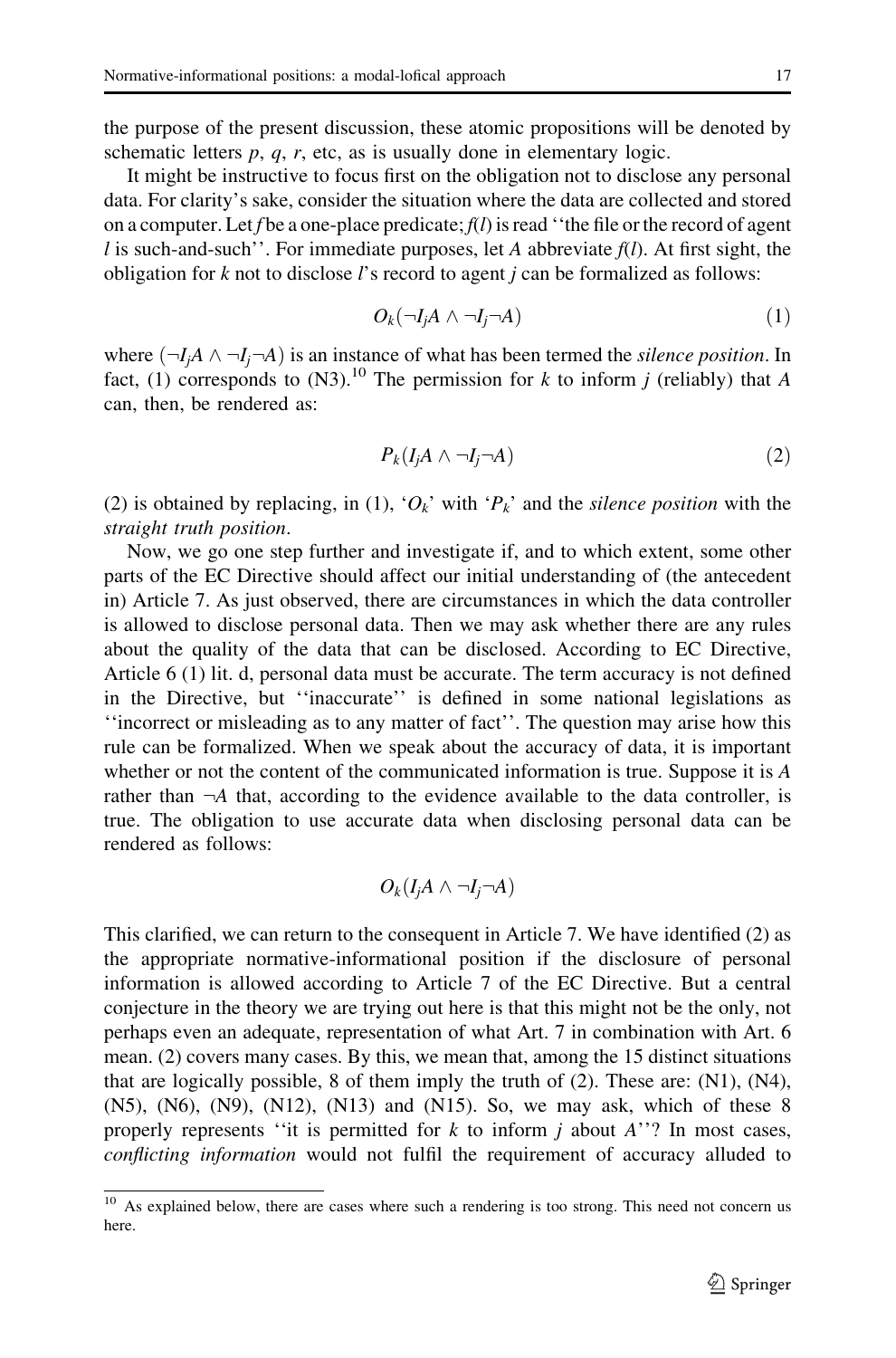the purpose of the present discussion, these atomic propositions will be denoted by schematic letters  $p$ ,  $q$ ,  $r$ , etc, as is usually done in elementary logic.

It might be instructive to focus first on the obligation not to disclose any personal data. For clarity's sake, consider the situation where the data are collected and stored on a computer. Let f be a one-place predicate;  $f(l)$  is read "the file or the record of agent l is such-and-such''. For immediate purposes, let A abbreviate  $f(l)$ . At first sight, the obligation for  $k$  not to disclose  $l$ 's record to agent  $j$  can be formalized as follows:

$$
O_k(\neg I_j A \land \neg I_j \neg A) \tag{1}
$$

where  $(\neg I_i A \land \neg I_i \neg A)$  is an instance of what has been termed the silence position. In fact, (1) corresponds to (N3).<sup>10</sup> The permission for k to inform *j* (reliably) that A can, then, be rendered as:

$$
P_k(I_jA \wedge \neg I_j \neg A) \tag{2}
$$

(2) is obtained by replacing, in (1), ' $O_k$ ' with ' $P_k$ ' and the *silence position* with the straight truth position.

Now, we go one step further and investigate if, and to which extent, some other parts of the EC Directive should affect our initial understanding of (the antecedent in) Article 7. As just observed, there are circumstances in which the data controller is allowed to disclose personal data. Then we may ask whether there are any rules about the quality of the data that can be disclosed. According to EC Directive, Article 6 (1) lit. d, personal data must be accurate. The term accuracy is not defined in the Directive, but ''inaccurate'' is defined in some national legislations as ''incorrect or misleading as to any matter of fact''. The question may arise how this rule can be formalized. When we speak about the accuracy of data, it is important whether or not the content of the communicated information is true. Suppose it is A rather than  $\neg A$  that, according to the evidence available to the data controller, is true. The obligation to use accurate data when disclosing personal data can be rendered as follows:

$$
O_k(I_jA \wedge \neg I_j \neg A)
$$

This clarified, we can return to the consequent in Article 7. We have identified (2) as the appropriate normative-informational position if the disclosure of personal information is allowed according to Article 7 of the EC Directive. But a central conjecture in the theory we are trying out here is that this might not be the only, not perhaps even an adequate, representation of what Art. 7 in combination with Art. 6 mean. (2) covers many cases. By this, we mean that, among the 15 distinct situations that are logically possible, 8 of them imply the truth of  $(2)$ . These are:  $(N1)$ ,  $(N4)$ , (N5), (N6), (N9), (N12), (N13) and (N15). So, we may ask, which of these 8 properly represents "it is permitted for  $k$  to inform  $j$  about  $A$ "? In most cases, conflicting information would not fulfil the requirement of accuracy alluded to

 $\overline{10}$  As explained below, there are cases where such a rendering is too strong. This need not concern us here.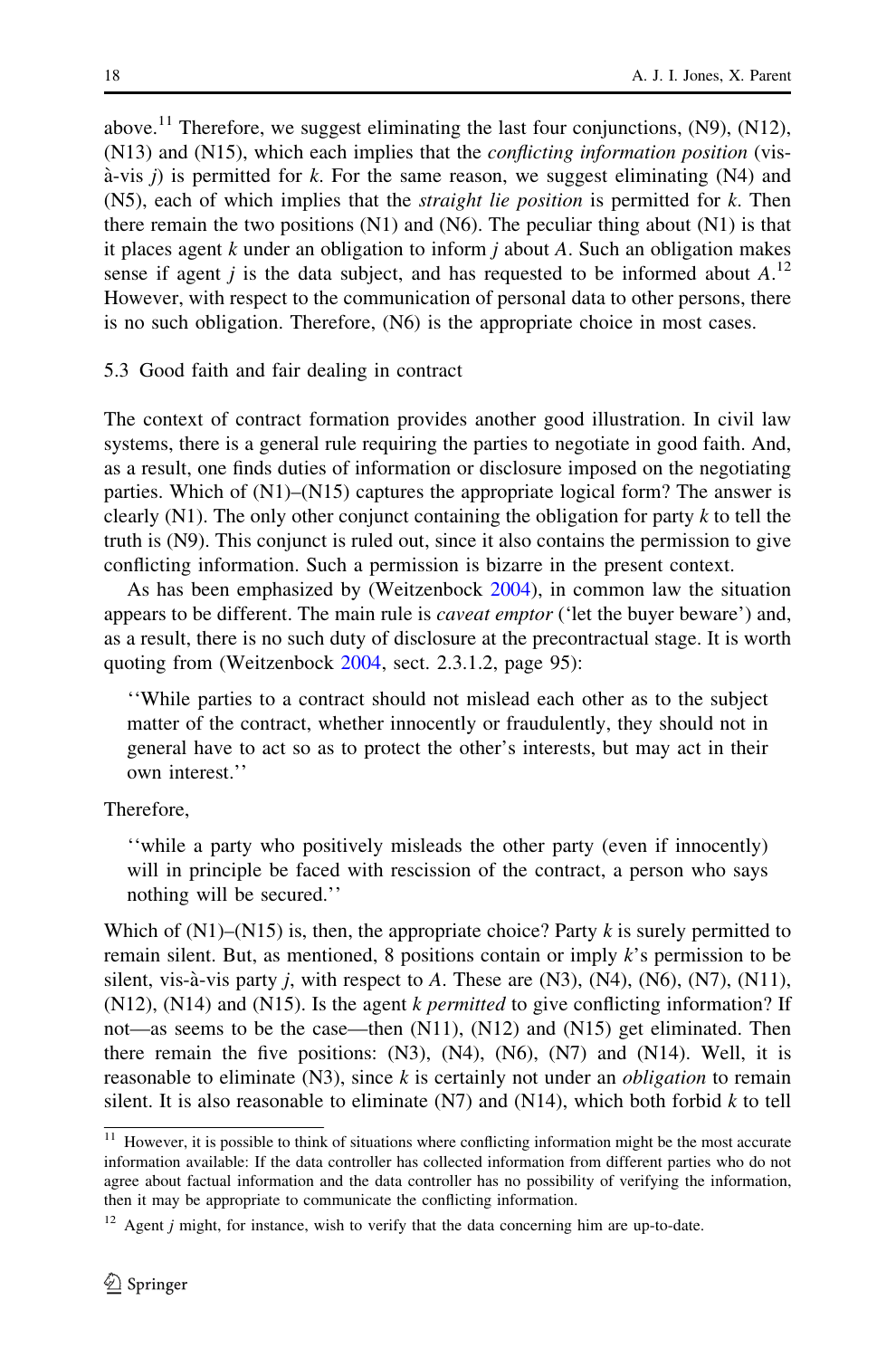above.<sup>11</sup> Therefore, we suggest eliminating the last four conjunctions,  $(N9)$ ,  $(N12)$ , (N13) and (N15), which each implies that the conflicting information position (vis- $\hat{a}$ -vis j) is permitted for k. For the same reason, we suggest eliminating (N4) and  $(N5)$ , each of which implies that the *straight lie position* is permitted for k. Then there remain the two positions (N1) and (N6). The peculiar thing about (N1) is that it places agent k under an obligation to inform  $i$  about A. Such an obligation makes sense if agent *j* is the data subject, and has requested to be informed about  $A<sup>12</sup>$ However, with respect to the communication of personal data to other persons, there is no such obligation. Therefore, (N6) is the appropriate choice in most cases.

5.3 Good faith and fair dealing in contract

The context of contract formation provides another good illustration. In civil law systems, there is a general rule requiring the parties to negotiate in good faith. And, as a result, one finds duties of information or disclosure imposed on the negotiating parties. Which of (N1)–(N15) captures the appropriate logical form? The answer is clearly (N1). The only other conjunct containing the obligation for party  $k$  to tell the truth is (N9). This conjunct is ruled out, since it also contains the permission to give conflicting information. Such a permission is bizarre in the present context.

As has been emphasized by (Weitzenbock [2004\)](#page-16-0), in common law the situation appears to be different. The main rule is *caveat emptor* ('let the buyer beware') and, as a result, there is no such duty of disclosure at the precontractual stage. It is worth quoting from (Weitzenbock [2004](#page-16-0), sect. 2.3.1.2, page 95):

''While parties to a contract should not mislead each other as to the subject matter of the contract, whether innocently or fraudulently, they should not in general have to act so as to protect the other's interests, but may act in their own interest.''

Therefore,

''while a party who positively misleads the other party (even if innocently) will in principle be faced with rescission of the contract, a person who says nothing will be secured.''

Which of  $(N1)$ – $(N15)$  is, then, the appropriate choice? Party k is surely permitted to remain silent. But, as mentioned, 8 positions contain or imply  $k$ 's permission to be silent, vis-à-vis party j, with respect to A. These are  $(N3)$ ,  $(N4)$ ,  $(N6)$ ,  $(N7)$ ,  $(N11)$ ,  $(N12)$ ,  $(N14)$  and  $(N15)$ . Is the agent k *permitted* to give conflicting information? If not—as seems to be the case—then (N11), (N12) and (N15) get eliminated. Then there remain the five positions:  $(N3)$ ,  $(N4)$ ,  $(N6)$ ,  $(N7)$  and  $(N14)$ . Well, it is reasonable to eliminate  $(N3)$ , since k is certainly not under an *obligation* to remain silent. It is also reasonable to eliminate  $(N7)$  and  $(N14)$ , which both forbid k to tell

<sup>&</sup>lt;sup>11</sup> However, it is possible to think of situations where conflicting information might be the most accurate information available: If the data controller has collected information from different parties who do not agree about factual information and the data controller has no possibility of verifying the information, then it may be appropriate to communicate the conflicting information.

 $12$  Agent *j* might, for instance, wish to verify that the data concerning him are up-to-date.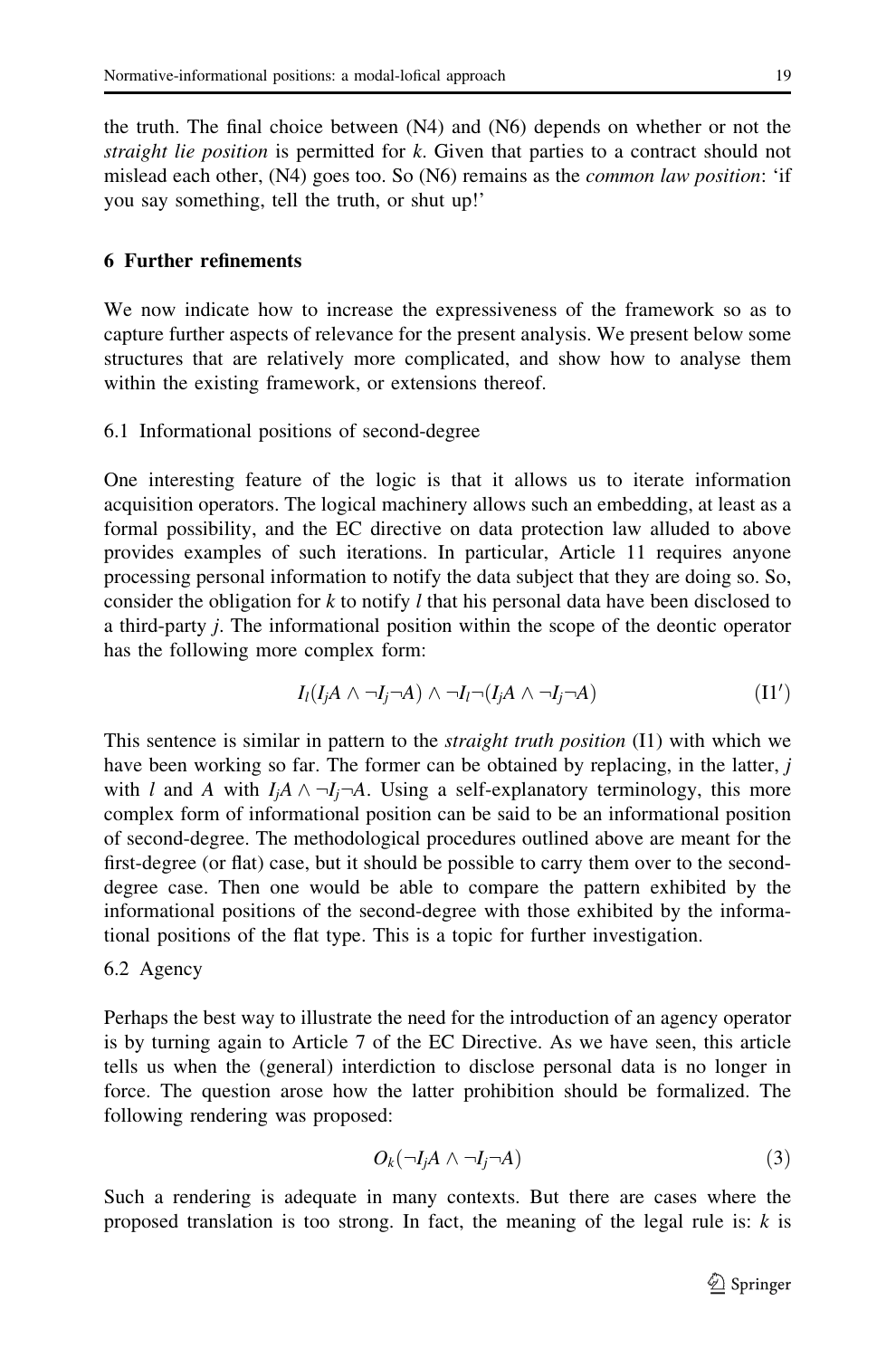the truth. The final choice between (N4) and (N6) depends on whether or not the straight lie position is permitted for k. Given that parties to a contract should not mislead each other, (N4) goes too. So (N6) remains as the *common law position*: 'if you say something, tell the truth, or shut up!'

# 6 Further refinements

We now indicate how to increase the expressiveness of the framework so as to capture further aspects of relevance for the present analysis. We present below some structures that are relatively more complicated, and show how to analyse them within the existing framework, or extensions thereof.

## 6.1 Informational positions of second-degree

One interesting feature of the logic is that it allows us to iterate information acquisition operators. The logical machinery allows such an embedding, at least as a formal possibility, and the EC directive on data protection law alluded to above provides examples of such iterations. In particular, Article 11 requires anyone processing personal information to notify the data subject that they are doing so. So, consider the obligation for  $k$  to notify l that his personal data have been disclosed to a third-party j. The informational position within the scope of the deontic operator has the following more complex form:

$$
I_l(I_jA \wedge \neg I_j \neg A) \wedge \neg I_l \neg (I_jA \wedge \neg I_j \neg A)
$$
 (I1')

This sentence is similar in pattern to the *straight truth position* (I1) with which we have been working so far. The former can be obtained by replacing, in the latter, j with l and A with  $I_iA \wedge \neg I_i\neg A$ . Using a self-explanatory terminology, this more complex form of informational position can be said to be an informational position of second-degree. The methodological procedures outlined above are meant for the first-degree (or flat) case, but it should be possible to carry them over to the seconddegree case. Then one would be able to compare the pattern exhibited by the informational positions of the second-degree with those exhibited by the informational positions of the flat type. This is a topic for further investigation.

#### 6.2 Agency

Perhaps the best way to illustrate the need for the introduction of an agency operator is by turning again to Article 7 of the EC Directive. As we have seen, this article tells us when the (general) interdiction to disclose personal data is no longer in force. The question arose how the latter prohibition should be formalized. The following rendering was proposed:

$$
O_k(\neg I_j A \land \neg I_j \neg A) \tag{3}
$$

Such a rendering is adequate in many contexts. But there are cases where the proposed translation is too strong. In fact, the meaning of the legal rule is:  $k$  is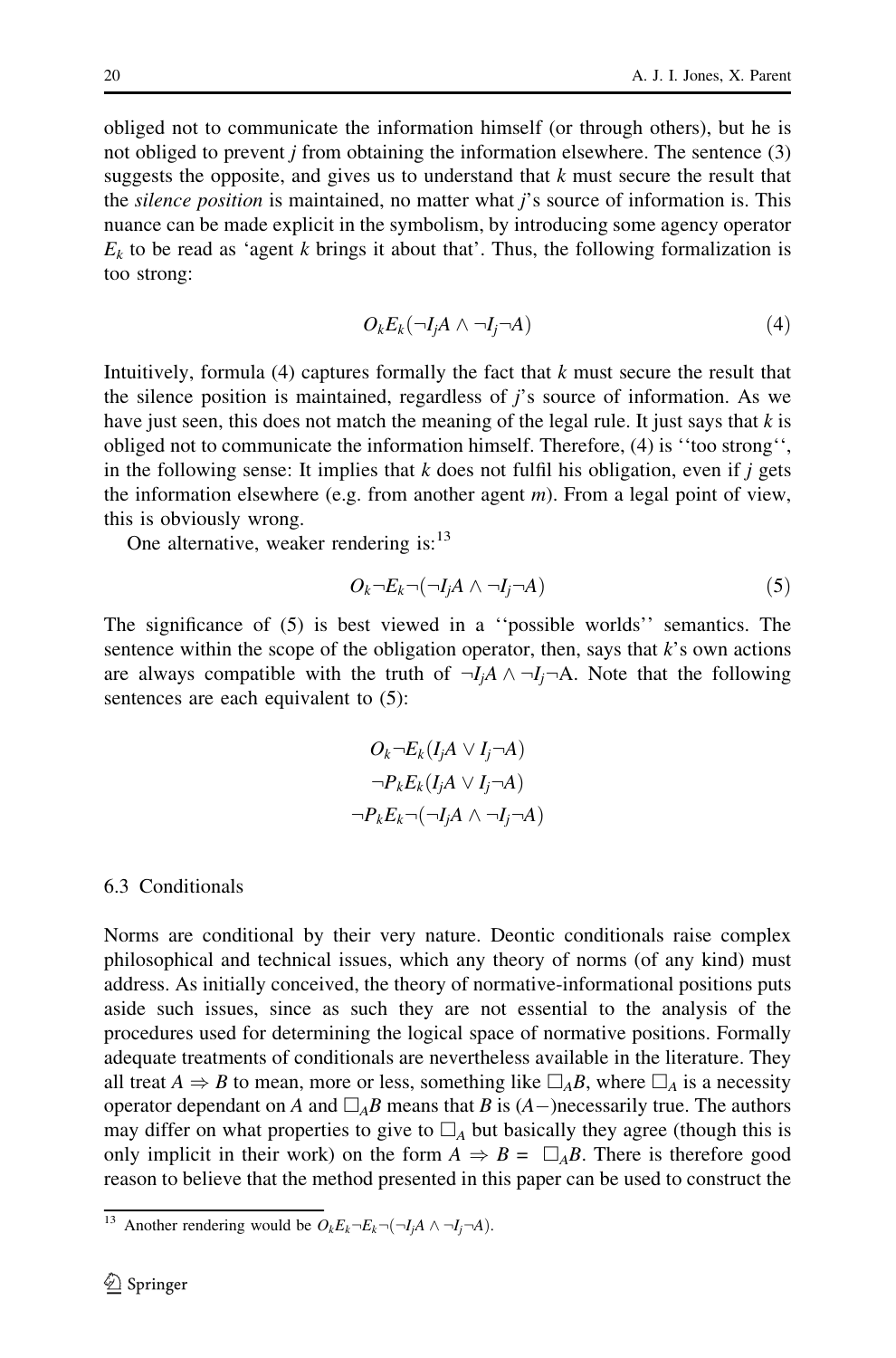obliged not to communicate the information himself (or through others), but he is not obliged to prevent *j* from obtaining the information elsewhere. The sentence  $(3)$ suggests the opposite, and gives us to understand that  $k$  must secure the result that the *silence position* is maintained, no matter what  $j$ 's source of information is. This nuance can be made explicit in the symbolism, by introducing some agency operator  $E<sub>k</sub>$  to be read as 'agent k brings it about that'. Thus, the following formalization is too strong:

$$
O_k E_k(\neg I_j A \wedge \neg I_j \neg A) \tag{4}
$$

Intuitively, formula  $(4)$  captures formally the fact that k must secure the result that the silence position is maintained, regardless of  $j$ 's source of information. As we have just seen, this does not match the meaning of the legal rule. It just says that  $k$  is obliged not to communicate the information himself. Therefore, (4) is ''too strong'', in the following sense: It implies that  $k$  does not fulfil his obligation, even if  $j$  gets the information elsewhere (e.g. from another agent  $m$ ). From a legal point of view, this is obviously wrong.

One alternative, weaker rendering is: $13$ 

$$
O_k \neg E_k \neg (\neg I_j A \land \neg I_j \neg A) \tag{5}
$$

The significance of (5) is best viewed in a ''possible worlds'' semantics. The sentence within the scope of the obligation operator, then, says that  $k$ 's own actions are always compatible with the truth of  $\neg I_i \land \neg I_j \neg A$ . Note that the following sentences are each equivalent to  $(5)$ :

$$
O_k \neg E_k(I_j A \lor I_j \neg A)
$$

$$
\neg P_k E_k(I_j A \lor I_j \neg A)
$$

$$
\neg P_k E_k \neg (\neg I_j A \land \neg I_j \neg A)
$$

#### 6.3 Conditionals

Norms are conditional by their very nature. Deontic conditionals raise complex philosophical and technical issues, which any theory of norms (of any kind) must address. As initially conceived, the theory of normative-informational positions puts aside such issues, since as such they are not essential to the analysis of the procedures used for determining the logical space of normative positions. Formally adequate treatments of conditionals are nevertheless available in the literature. They all treat  $A \Rightarrow B$  to mean, more or less, something like  $\Box_A B$ , where  $\Box_A$  is a necessity operator dependant on A and  $\Box_A B$  means that B is  $(A-)$ necessarily true. The authors may differ on what properties to give to  $\Box_A$  but basically they agree (though this is only implicit in their work) on the form  $A \Rightarrow B = \Box_A B$ . There is therefore good reason to believe that the method presented in this paper can be used to construct the

<sup>&</sup>lt;sup>13</sup> Another rendering would be  $O_k E_k \neg E_k \neg (\neg I_j A \wedge \neg I_j \neg A)$ .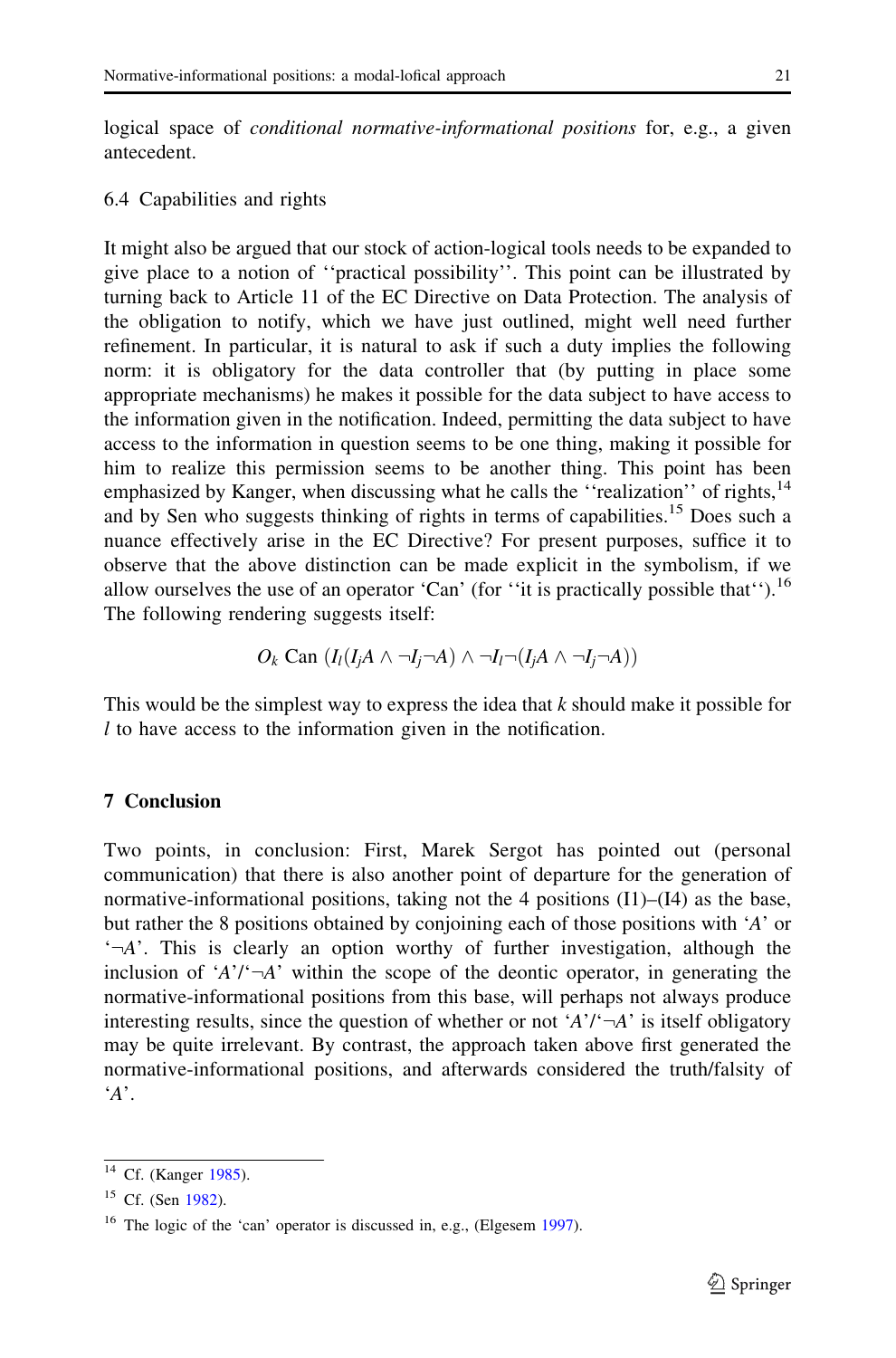logical space of *conditional normative-informational positions* for, e.g., a given antecedent.

## 6.4 Capabilities and rights

It might also be argued that our stock of action-logical tools needs to be expanded to give place to a notion of ''practical possibility''. This point can be illustrated by turning back to Article 11 of the EC Directive on Data Protection. The analysis of the obligation to notify, which we have just outlined, might well need further refinement. In particular, it is natural to ask if such a duty implies the following norm: it is obligatory for the data controller that (by putting in place some appropriate mechanisms) he makes it possible for the data subject to have access to the information given in the notification. Indeed, permitting the data subject to have access to the information in question seems to be one thing, making it possible for him to realize this permission seems to be another thing. This point has been emphasized by Kanger, when discussing what he calls the "realization" of rights,<sup>14</sup> and by Sen who suggests thinking of rights in terms of capabilities.<sup>15</sup> Does such a nuance effectively arise in the EC Directive? For present purposes, suffice it to observe that the above distinction can be made explicit in the symbolism, if we allow ourselves the use of an operator 'Can' (for "it is practically possible that").<sup>16</sup> The following rendering suggests itself:

$$
O_k \text{ Can } (I_l(I_jA \land \neg I_j \neg A) \land \neg I_l \neg (I_jA \land \neg I_j \neg A))
$$

This would be the simplest way to express the idea that k should make it possible for l to have access to the information given in the notification.

## 7 Conclusion

Two points, in conclusion: First, Marek Sergot has pointed out (personal communication) that there is also another point of departure for the generation of normative-informational positions, taking not the 4 positions  $(11)$ – $(14)$  as the base, but rather the 8 positions obtained by conjoining each of those positions with 'A' or  $\Delta$ <sup>2</sup>. This is clearly an option worthy of further investigation, although the inclusion of ' $A$ '/' $\neg A$ ' within the scope of the deontic operator, in generating the normative-informational positions from this base, will perhaps not always produce interesting results, since the question of whether or not ' $A'$ '  $\neg A'$ ' is itself obligatory may be quite irrelevant. By contrast, the approach taken above first generated the normative-informational positions, and afterwards considered the truth/falsity of  $'A$ .

<sup>&</sup>lt;sup>14</sup> Cf. (Kanger [1985](#page-16-0)).

 $15$  Cf. (Sen [1982\)](#page-16-0).

<sup>&</sup>lt;sup>16</sup> The logic of the 'can' operator is discussed in, e.g., (Elgesem [1997](#page-15-0)).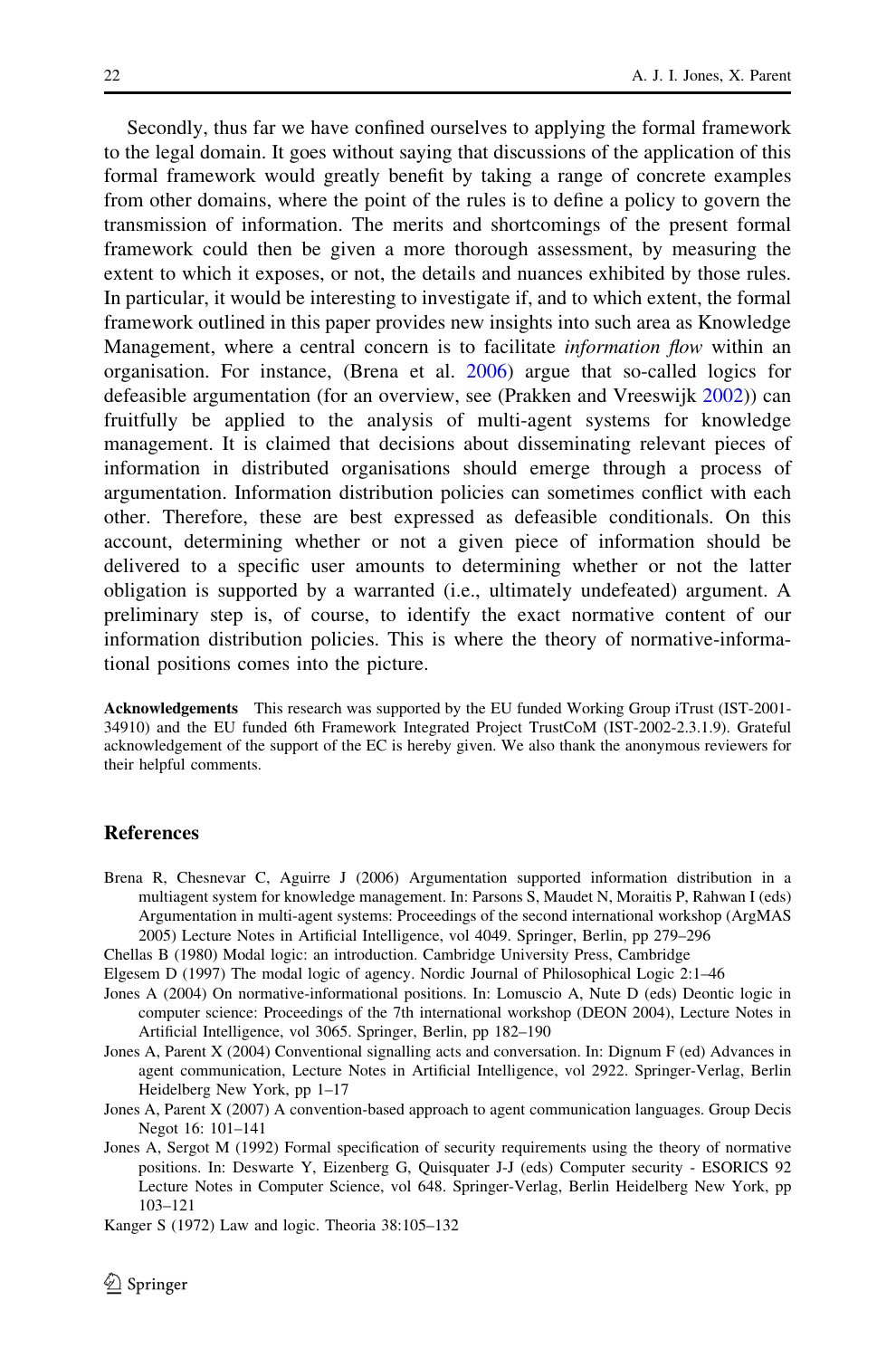<span id="page-15-0"></span>Secondly, thus far we have confined ourselves to applying the formal framework to the legal domain. It goes without saying that discussions of the application of this formal framework would greatly benefit by taking a range of concrete examples from other domains, where the point of the rules is to define a policy to govern the transmission of information. The merits and shortcomings of the present formal framework could then be given a more thorough assessment, by measuring the extent to which it exposes, or not, the details and nuances exhibited by those rules. In particular, it would be interesting to investigate if, and to which extent, the formal framework outlined in this paper provides new insights into such area as Knowledge Management, where a central concern is to facilitate *information flow* within an organisation. For instance, (Brena et al. 2006) argue that so-called logics for defeasible argumentation (for an overview, see (Prakken and Vreeswijk [2002\)](#page-16-0)) can fruitfully be applied to the analysis of multi-agent systems for knowledge management. It is claimed that decisions about disseminating relevant pieces of information in distributed organisations should emerge through a process of argumentation. Information distribution policies can sometimes conflict with each other. Therefore, these are best expressed as defeasible conditionals. On this account, determining whether or not a given piece of information should be delivered to a specific user amounts to determining whether or not the latter obligation is supported by a warranted (i.e., ultimately undefeated) argument. A preliminary step is, of course, to identify the exact normative content of our information distribution policies. This is where the theory of normative-informational positions comes into the picture.

Acknowledgements This research was supported by the EU funded Working Group iTrust (IST-2001- 34910) and the EU funded 6th Framework Integrated Project TrustCoM (IST-2002-2.3.1.9). Grateful acknowledgement of the support of the EC is hereby given. We also thank the anonymous reviewers for their helpful comments.

# References

Brena R, Chesnevar C, Aguirre J (2006) Argumentation supported information distribution in a multiagent system for knowledge management. In: Parsons S, Maudet N, Moraitis P, Rahwan I (eds) Argumentation in multi-agent systems: Proceedings of the second international workshop (ArgMAS 2005) Lecture Notes in Artificial Intelligence, vol 4049. Springer, Berlin, pp 279–296

Chellas B (1980) Modal logic: an introduction. Cambridge University Press, Cambridge

Elgesem D (1997) The modal logic of agency. Nordic Journal of Philosophical Logic 2:1–46

Jones A (2004) On normative-informational positions. In: Lomuscio A, Nute D (eds) Deontic logic in computer science: Proceedings of the 7th international workshop (DEON 2004), Lecture Notes in Artificial Intelligence, vol 3065. Springer, Berlin, pp 182–190

Jones A, Parent X (2004) Conventional signalling acts and conversation. In: Dignum F (ed) Advances in agent communication, Lecture Notes in Artificial Intelligence, vol 2922. Springer-Verlag, Berlin Heidelberg New York, pp 1–17

Jones A, Parent X (2007) A convention-based approach to agent communication languages. Group Decis Negot 16: 101–141

Jones A, Sergot M (1992) Formal specification of security requirements using the theory of normative positions. In: Deswarte Y, Eizenberg G, Quisquater J-J (eds) Computer security - ESORICS 92 Lecture Notes in Computer Science, vol 648. Springer-Verlag, Berlin Heidelberg New York, pp 103–121

Kanger S (1972) Law and logic. Theoria 38:105–132